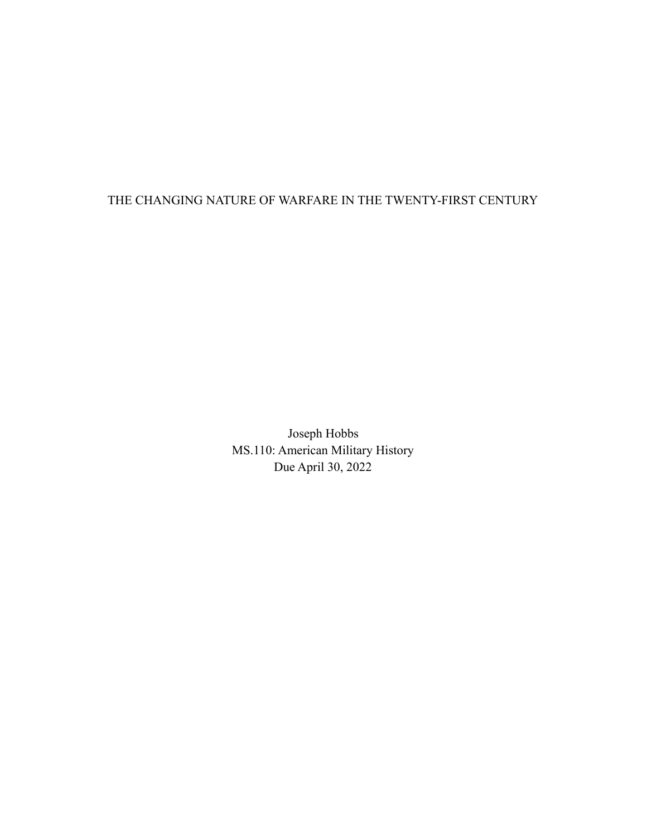## THE CHANGING NATURE OF WARFARE IN THE TWENTY-FIRST CENTURY

Joseph Hobbs MS.110: American Military History Due April 30, 2022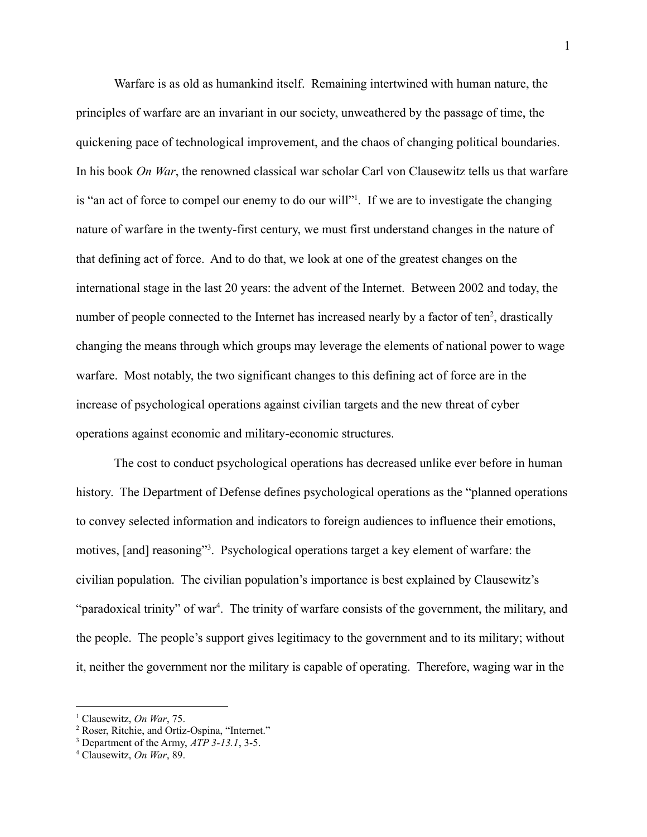Warfare is as old as humankind itself. Remaining intertwined with human nature, the principles of warfare are an invariant in our society, unweathered by the passage of time, the quickening pace of technological improvement, and the chaos of changing political boundaries. In his book *On War*, the renowned classical war scholar Carl von Clausewitz tells us that warfare is "an act of force to compel our enemy to do our will"<sup>1</sup>. If we are to investigate the changing nature of warfare in the twenty-first century, we must first understand changes in the nature of that defining act of force. And to do that, we look at one of the greatest changes on the international stage in the last 20 years: the advent of the Internet. Between 2002 and today, the number of people connected to the Internet has increased nearly by a factor of ten<sup>2</sup>, drastically changing the means through which groups may leverage the elements of national power to wage warfare. Most notably, the two significant changes to this defining act of force are in the increase of psychological operations against civilian targets and the new threat of cyber operations against economic and military-economic structures.

The cost to conduct psychological operations has decreased unlike ever before in human history. The Department of Defense defines psychological operations as the "planned operations to convey selected information and indicators to foreign audiences to influence their emotions, motives, [and] reasoning"<sup>3</sup>. Psychological operations target a key element of warfare: the civilian population. The civilian population's importance is best explained by Clausewitz's "paradoxical trinity" of war<sup>4</sup>. The trinity of warfare consists of the government, the military, and the people. The people's support gives legitimacy to the government and to its military; without it, neither the government nor the military is capable of operating. Therefore, waging war in the

<sup>1</sup> Clausewitz, *On War*, 75.

<sup>2</sup> Roser, Ritchie, and Ortiz-Ospina, "Internet."

<sup>3</sup> Department of the Army, *ATP 3-13.1*, 3-5.

<sup>4</sup> Clausewitz, *On War*, 89.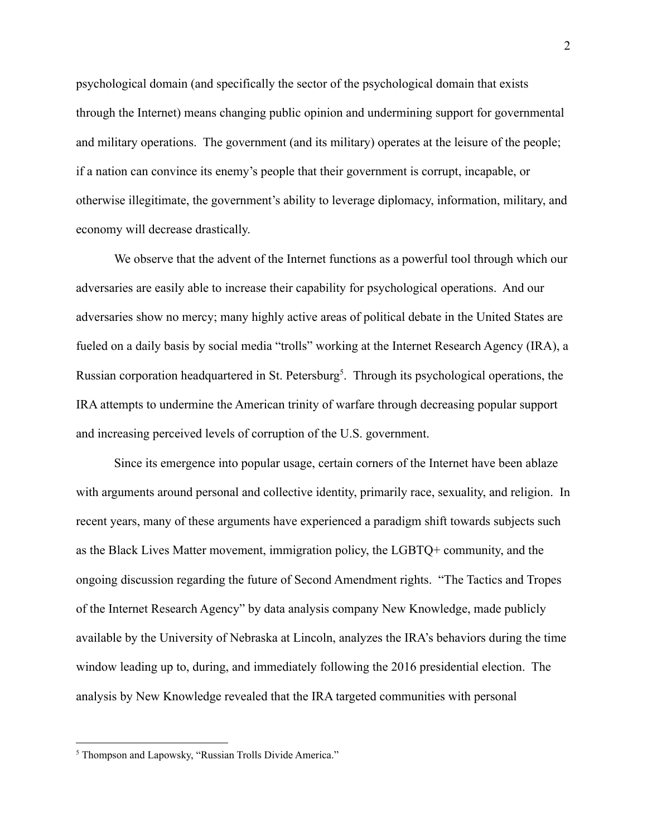psychological domain (and specifically the sector of the psychological domain that exists through the Internet) means changing public opinion and undermining support for governmental and military operations. The government (and its military) operates at the leisure of the people; if a nation can convince its enemy's people that their government is corrupt, incapable, or otherwise illegitimate, the government's ability to leverage diplomacy, information, military, and economy will decrease drastically.

We observe that the advent of the Internet functions as a powerful tool through which our adversaries are easily able to increase their capability for psychological operations. And our adversaries show no mercy; many highly active areas of political debate in the United States are fueled on a daily basis by social media "trolls" working at the Internet Research Agency (IRA), a Russian corporation headquartered in St. Petersburg<sup>5</sup>. Through its psychological operations, the IRA attempts to undermine the American trinity of warfare through decreasing popular support and increasing perceived levels of corruption of the U.S. government.

Since its emergence into popular usage, certain corners of the Internet have been ablaze with arguments around personal and collective identity, primarily race, sexuality, and religion. In recent years, many of these arguments have experienced a paradigm shift towards subjects such as the Black Lives Matter movement, immigration policy, the LGBTQ+ community, and the ongoing discussion regarding the future of Second Amendment rights. "The Tactics and Tropes of the Internet Research Agency" by data analysis company New Knowledge, made publicly available by the University of Nebraska at Lincoln, analyzes the IRA's behaviors during the time window leading up to, during, and immediately following the 2016 presidential election. The analysis by New Knowledge revealed that the IRA targeted communities with personal

<sup>5</sup> Thompson and Lapowsky, "Russian Trolls Divide America."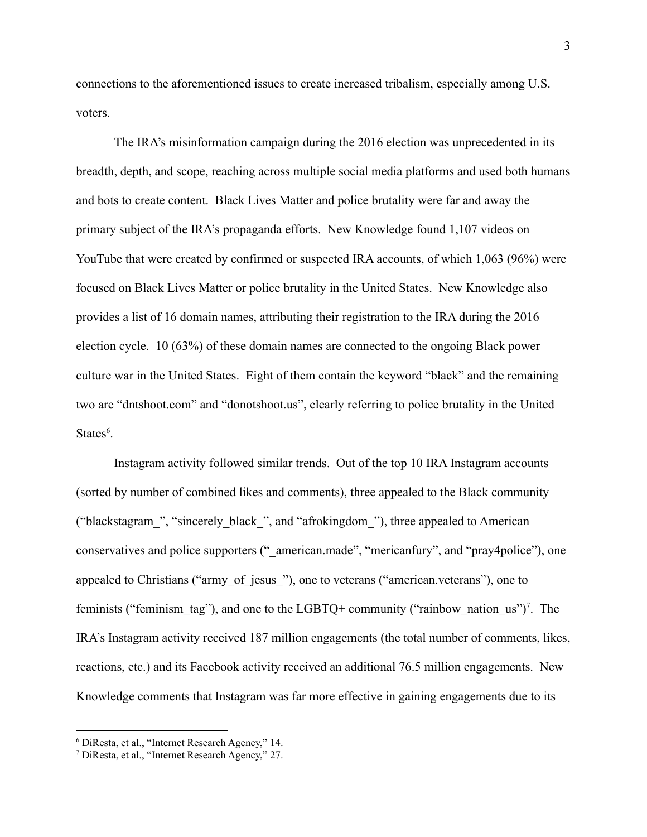connections to the aforementioned issues to create increased tribalism, especially among U.S. voters.

The IRA's misinformation campaign during the 2016 election was unprecedented in its breadth, depth, and scope, reaching across multiple social media platforms and used both humans and bots to create content. Black Lives Matter and police brutality were far and away the primary subject of the IRA's propaganda efforts. New Knowledge found 1,107 videos on YouTube that were created by confirmed or suspected IRA accounts, of which 1,063 (96%) were focused on Black Lives Matter or police brutality in the United States. New Knowledge also provides a list of 16 domain names, attributing their registration to the IRA during the 2016 election cycle. 10 (63%) of these domain names are connected to the ongoing Black power culture war in the United States. Eight of them contain the keyword "black" and the remaining two are "dntshoot.com" and "donotshoot.us", clearly referring to police brutality in the United States<sup>6</sup>.

Instagram activity followed similar trends. Out of the top 10 IRA Instagram accounts (sorted by number of combined likes and comments), three appealed to the Black community ("blackstagram\_", "sincerely\_black\_", and "afrokingdom\_"), three appealed to American conservatives and police supporters (" american.made", "mericanfury", and "pray4police"), one appealed to Christians ("army of jesus"), one to veterans ("american.veterans"), one to feminists ("feminism tag"), and one to the LGBTQ+ community ("rainbow nation us")<sup>7</sup>. The IRA's Instagram activity received 187 million engagements (the total number of comments, likes, reactions, etc.) and its Facebook activity received an additional 76.5 million engagements. New Knowledge comments that Instagram was far more effective in gaining engagements due to its

<sup>6</sup> DiResta, et al., "Internet Research Agency," 14.

<sup>7</sup> DiResta, et al., "Internet Research Agency," 27.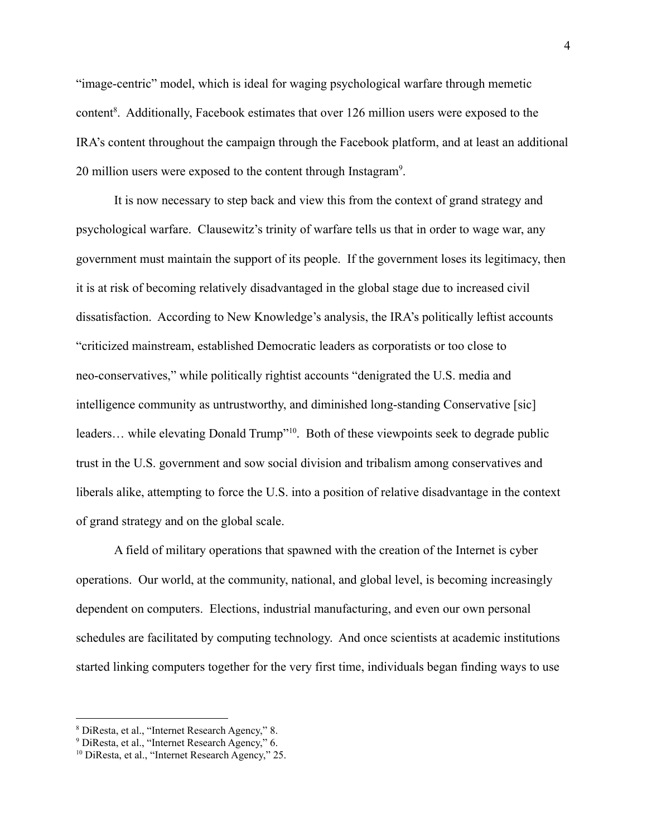"image-centric" model, which is ideal for waging psychological warfare through memetic content<sup>8</sup>. Additionally, Facebook estimates that over 126 million users were exposed to the IRA's content throughout the campaign through the Facebook platform, and at least an additional 20 million users were exposed to the content through Instagram<sup>9</sup>.

It is now necessary to step back and view this from the context of grand strategy and psychological warfare. Clausewitz's trinity of warfare tells us that in order to wage war, any government must maintain the support of its people. If the government loses its legitimacy, then it is at risk of becoming relatively disadvantaged in the global stage due to increased civil dissatisfaction. According to New Knowledge's analysis, the IRA's politically leftist accounts "criticized mainstream, established Democratic leaders as corporatists or too close to neo-conservatives," while politically rightist accounts "denigrated the U.S. media and intelligence community as untrustworthy, and diminished long-standing Conservative [sic] leaders... while elevating Donald Trump"<sup>10</sup>. Both of these viewpoints seek to degrade public trust in the U.S. government and sow social division and tribalism among conservatives and liberals alike, attempting to force the U.S. into a position of relative disadvantage in the context of grand strategy and on the global scale.

A field of military operations that spawned with the creation of the Internet is cyber operations. Our world, at the community, national, and global level, is becoming increasingly dependent on computers. Elections, industrial manufacturing, and even our own personal schedules are facilitated by computing technology. And once scientists at academic institutions started linking computers together for the very first time, individuals began finding ways to use

<sup>8</sup> DiResta, et al., "Internet Research Agency," 8.

<sup>9</sup> DiResta, et al., "Internet Research Agency," 6.

<sup>10</sup> DiResta, et al., "Internet Research Agency," 25.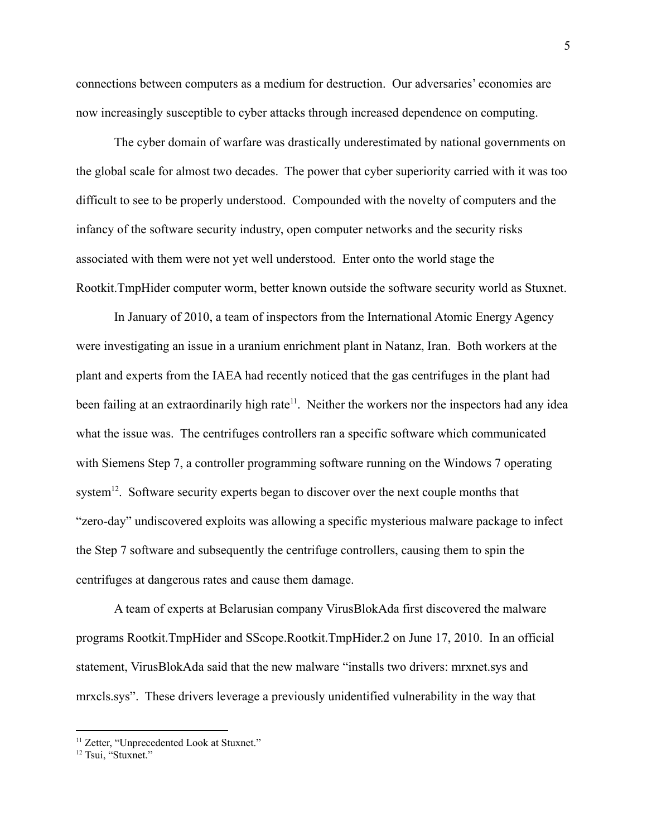connections between computers as a medium for destruction. Our adversaries' economies are now increasingly susceptible to cyber attacks through increased dependence on computing.

The cyber domain of warfare was drastically underestimated by national governments on the global scale for almost two decades. The power that cyber superiority carried with it was too difficult to see to be properly understood. Compounded with the novelty of computers and the infancy of the software security industry, open computer networks and the security risks associated with them were not yet well understood. Enter onto the world stage the Rootkit.TmpHider computer worm, better known outside the software security world as Stuxnet.

In January of 2010, a team of inspectors from the International Atomic Energy Agency were investigating an issue in a uranium enrichment plant in Natanz, Iran. Both workers at the plant and experts from the IAEA had recently noticed that the gas centrifuges in the plant had been failing at an extraordinarily high rate<sup>11</sup>. Neither the workers nor the inspectors had any idea what the issue was. The centrifuges controllers ran a specific software which communicated with Siemens Step 7, a controller programming software running on the Windows 7 operating system<sup>12</sup>. Software security experts began to discover over the next couple months that "zero-day" undiscovered exploits was allowing a specific mysterious malware package to infect the Step 7 software and subsequently the centrifuge controllers, causing them to spin the centrifuges at dangerous rates and cause them damage.

A team of experts at Belarusian company VirusBlokAda first discovered the malware programs Rootkit.TmpHider and SScope.Rootkit.TmpHider.2 on June 17, 2010. In an official statement, VirusBlokAda said that the new malware "installs two drivers: mrxnet.sys and mrxcls.sys". These drivers leverage a previously unidentified vulnerability in the way that

<sup>&</sup>lt;sup>11</sup> Zetter, "Unprecedented Look at Stuxnet."

<sup>&</sup>lt;sup>12</sup> Tsui, "Stuxnet."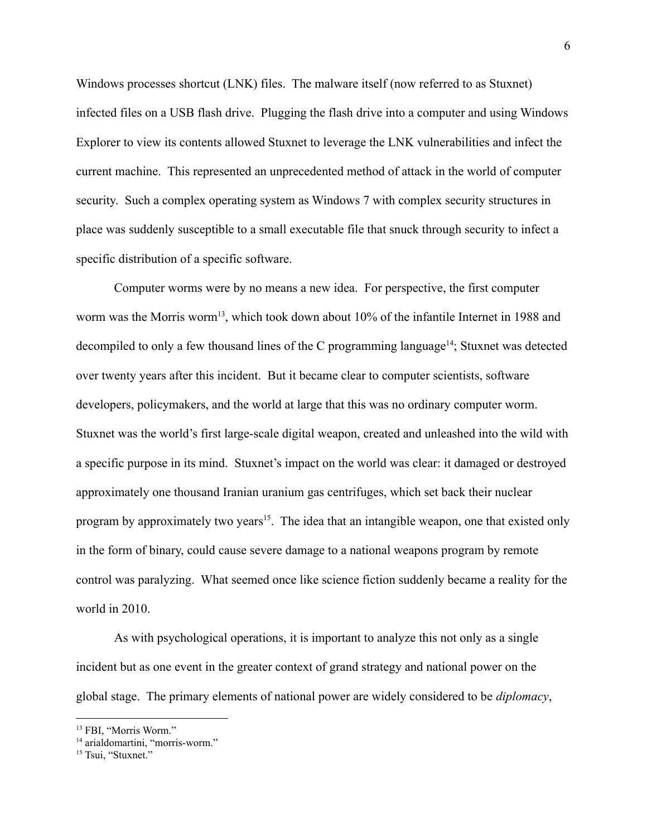Windows processes shortcut (LNK) files. The malware itself (now referred to as Stuxnet) infected files on a USB flash drive. Plugging the flash drive into a computer and using Windows Explorer to view its contents allowed Stuxnet to leverage the LNK vulnerabilities and infect the current machine. This represented an unprecedented method of attack in the world of computer security. Such a complex operating system as Windows 7 with complex security structures in place was suddenly susceptible to a small executable file that snuck through security to infect a specific distribution of a specific software.

Computer worms were by no means a new idea. For perspective, the first computer worm was the Morris worm<sup>13</sup>, which took down about 10% of the infantile Internet in 1988 and decompiled to only a few thousand lines of the C programming language<sup>14</sup>; Stuxnet was detected over twenty years after this incident. But it became clear to computer scientists, software developers, policymakers, and the world at large that this was no ordinary computer worm. Stuxnet was the world's first large-scale digital weapon, created and unleashed into the wild with a specific purpose in its mind. Stuxnet's impact on the world was clear: it damaged or destroyed approximately one thousand Iranian uranium gas centrifuges, which set back their nuclear program by approximately two years<sup>15</sup>. The idea that an intangible weapon, one that existed only in the form of binary, could cause severe damage to a national weapons program by remote control was paralyzing. What seemed once like science fiction suddenly became a reality for the world in 2010.

As with psychological operations, it is important to analyze this not only as a single incident but as one event in the greater context of grand strategy and national power on the global stage. The primary elements of national power are widely considered to be *diplomacy*,

<sup>&</sup>lt;sup>13</sup> FBI, "Morris Worm."

<sup>&</sup>lt;sup>14</sup> arialdomartini, "morris-worm."

<sup>&</sup>lt;sup>15</sup> Tsui, "Stuxnet."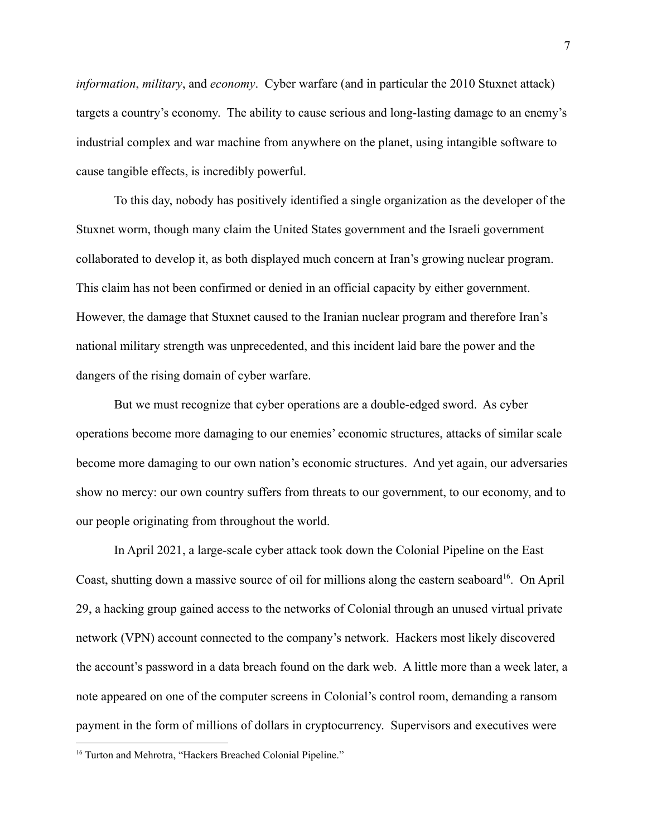*information*, *military*, and *economy*. Cyber warfare (and in particular the 2010 Stuxnet attack) targets a country's economy. The ability to cause serious and long-lasting damage to an enemy's industrial complex and war machine from anywhere on the planet, using intangible software to cause tangible effects, is incredibly powerful.

To this day, nobody has positively identified a single organization as the developer of the Stuxnet worm, though many claim the United States government and the Israeli government collaborated to develop it, as both displayed much concern at Iran's growing nuclear program. This claim has not been confirmed or denied in an official capacity by either government. However, the damage that Stuxnet caused to the Iranian nuclear program and therefore Iran's national military strength was unprecedented, and this incident laid bare the power and the dangers of the rising domain of cyber warfare.

But we must recognize that cyber operations are a double-edged sword. As cyber operations become more damaging to our enemies' economic structures, attacks of similar scale become more damaging to our own nation's economic structures. And yet again, our adversaries show no mercy: our own country suffers from threats to our government, to our economy, and to our people originating from throughout the world.

In April 2021, a large-scale cyber attack took down the Colonial Pipeline on the East Coast, shutting down a massive source of oil for millions along the eastern seaboard<sup>16</sup>. On April 29, a hacking group gained access to the networks of Colonial through an unused virtual private network (VPN) account connected to the company's network. Hackers most likely discovered the account's password in a data breach found on the dark web. A little more than a week later, a note appeared on one of the computer screens in Colonial's control room, demanding a ransom payment in the form of millions of dollars in cryptocurrency. Supervisors and executives were

<sup>&</sup>lt;sup>16</sup> Turton and Mehrotra, "Hackers Breached Colonial Pipeline."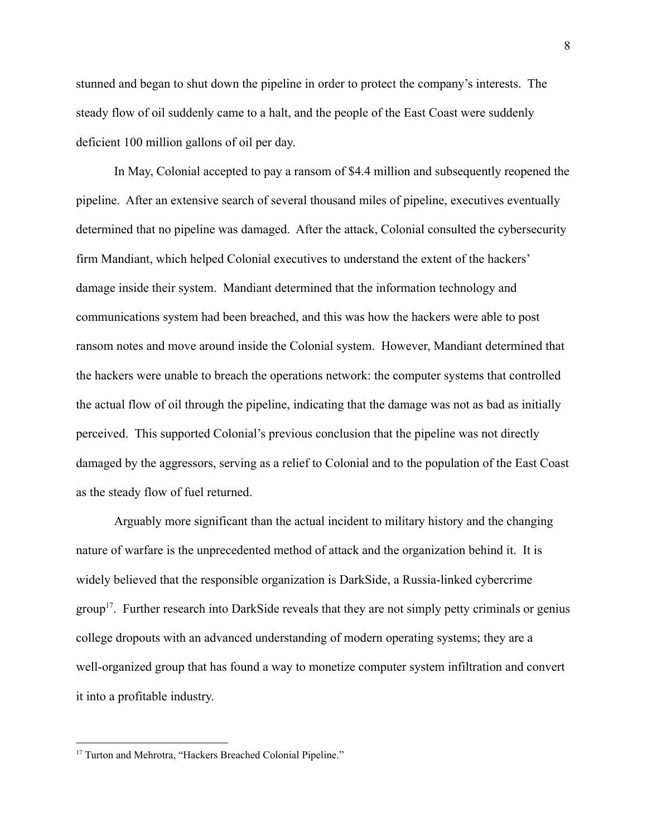stunned and began to shut down the pipeline in order to protect the company's interests. The steady flow of oil suddenly came to a halt, and the people of the East Coast were suddenly deficient 100 million gallons of oil per day.

In May, Colonial accepted to pay a ransom of \$4.4 million and subsequently reopened the pipeline. After an extensive search of several thousand miles of pipeline, executives eventually determined that no pipeline was damaged. After the attack, Colonial consulted the cybersecurity firm Mandiant, which helped Colonial executives to understand the extent of the hackers' damage inside their system. Mandiant determined that the information technology and communications system had been breached, and this was how the hackers were able to post ransom notes and move around inside the Colonial system. However, Mandiant determined that the hackers were unable to breach the operations network: the computer systems that controlled the actual flow of oil through the pipeline, indicating that the damage was not as bad as initially perceived. This supported Colonial's previous conclusion that the pipeline was not directly damaged by the aggressors, serving as a relief to Colonial and to the population of the East Coast as the steady flow of fuel returned.

Arguably more significant than the actual incident to military history and the changing nature of warfare is the unprecedented method of attack and the organization behind it. It is widely believed that the responsible organization is DarkSide, a Russia-linked cybercrime group<sup>17</sup>. Further research into DarkSide reveals that they are not simply petty criminals or genius college dropouts with an advanced understanding of modern operating systems; they are a well-organized group that has found a way to monetize computer system infiltration and convert it into a profitable industry.

<sup>&</sup>lt;sup>17</sup> Turton and Mehrotra, "Hackers Breached Colonial Pipeline."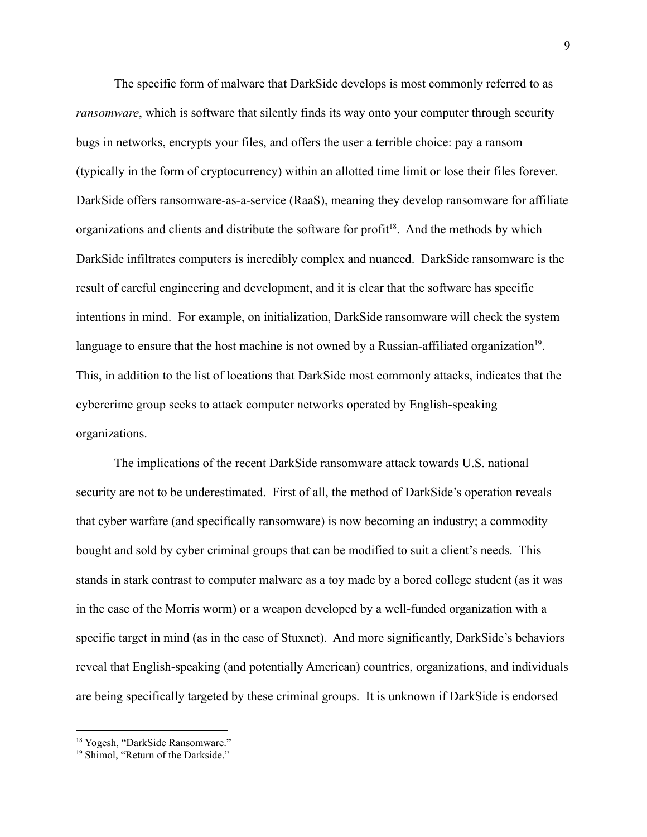The specific form of malware that DarkSide develops is most commonly referred to as *ransomware*, which is software that silently finds its way onto your computer through security bugs in networks, encrypts your files, and offers the user a terrible choice: pay a ransom (typically in the form of cryptocurrency) within an allotted time limit or lose their files forever. DarkSide offers ransomware-as-a-service (RaaS), meaning they develop ransomware for affiliate organizations and clients and distribute the software for profit<sup>18</sup>. And the methods by which DarkSide infiltrates computers is incredibly complex and nuanced. DarkSide ransomware is the result of careful engineering and development, and it is clear that the software has specific intentions in mind. For example, on initialization, DarkSide ransomware will check the system language to ensure that the host machine is not owned by a Russian-affiliated organization<sup>19</sup>. This, in addition to the list of locations that DarkSide most commonly attacks, indicates that the cybercrime group seeks to attack computer networks operated by English-speaking organizations.

The implications of the recent DarkSide ransomware attack towards U.S. national security are not to be underestimated. First of all, the method of DarkSide's operation reveals that cyber warfare (and specifically ransomware) is now becoming an industry; a commodity bought and sold by cyber criminal groups that can be modified to suit a client's needs. This stands in stark contrast to computer malware as a toy made by a bored college student (as it was in the case of the Morris worm) or a weapon developed by a well-funded organization with a specific target in mind (as in the case of Stuxnet). And more significantly, DarkSide's behaviors reveal that English-speaking (and potentially American) countries, organizations, and individuals are being specifically targeted by these criminal groups. It is unknown if DarkSide is endorsed

<sup>&</sup>lt;sup>18</sup> Yogesh, "DarkSide Ransomware."

<sup>&</sup>lt;sup>19</sup> Shimol, "Return of the Darkside."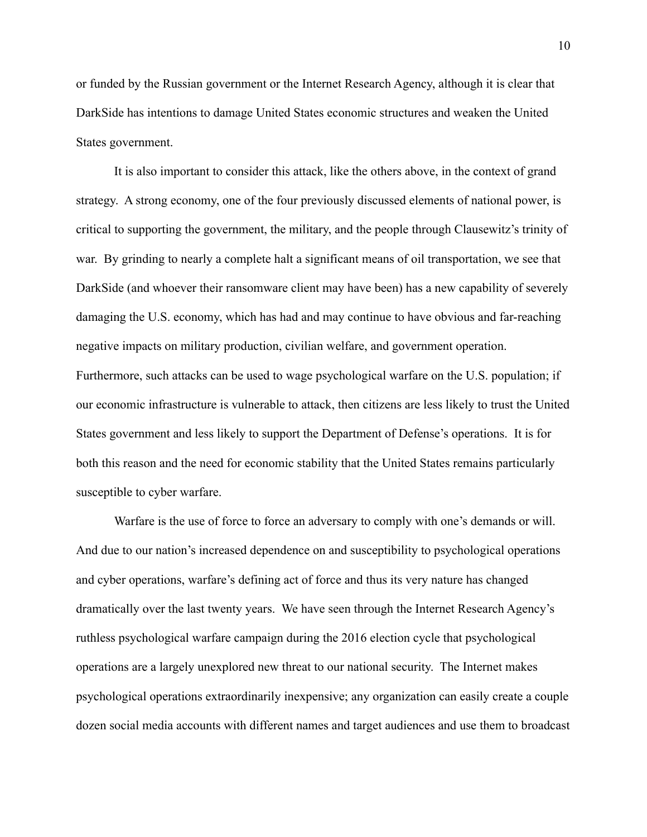or funded by the Russian government or the Internet Research Agency, although it is clear that DarkSide has intentions to damage United States economic structures and weaken the United States government.

It is also important to consider this attack, like the others above, in the context of grand strategy. A strong economy, one of the four previously discussed elements of national power, is critical to supporting the government, the military, and the people through Clausewitz's trinity of war. By grinding to nearly a complete halt a significant means of oil transportation, we see that DarkSide (and whoever their ransomware client may have been) has a new capability of severely damaging the U.S. economy, which has had and may continue to have obvious and far-reaching negative impacts on military production, civilian welfare, and government operation. Furthermore, such attacks can be used to wage psychological warfare on the U.S. population; if our economic infrastructure is vulnerable to attack, then citizens are less likely to trust the United States government and less likely to support the Department of Defense's operations. It is for both this reason and the need for economic stability that the United States remains particularly susceptible to cyber warfare.

Warfare is the use of force to force an adversary to comply with one's demands or will. And due to our nation's increased dependence on and susceptibility to psychological operations and cyber operations, warfare's defining act of force and thus its very nature has changed dramatically over the last twenty years. We have seen through the Internet Research Agency's ruthless psychological warfare campaign during the 2016 election cycle that psychological operations are a largely unexplored new threat to our national security. The Internet makes psychological operations extraordinarily inexpensive; any organization can easily create a couple dozen social media accounts with different names and target audiences and use them to broadcast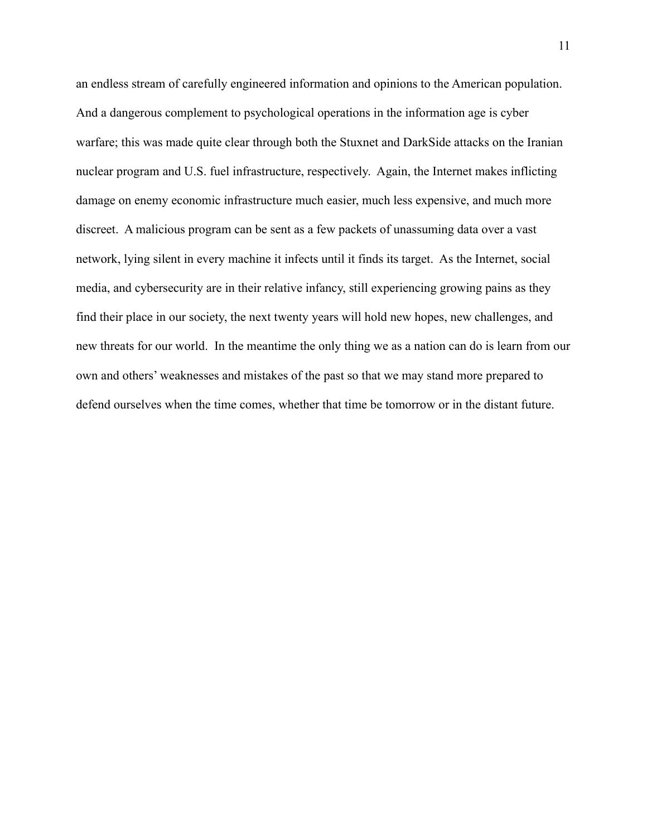an endless stream of carefully engineered information and opinions to the American population. And a dangerous complement to psychological operations in the information age is cyber warfare; this was made quite clear through both the Stuxnet and DarkSide attacks on the Iranian nuclear program and U.S. fuel infrastructure, respectively. Again, the Internet makes inflicting damage on enemy economic infrastructure much easier, much less expensive, and much more discreet. A malicious program can be sent as a few packets of unassuming data over a vast network, lying silent in every machine it infects until it finds its target. As the Internet, social media, and cybersecurity are in their relative infancy, still experiencing growing pains as they find their place in our society, the next twenty years will hold new hopes, new challenges, and new threats for our world. In the meantime the only thing we as a nation can do is learn from our own and others' weaknesses and mistakes of the past so that we may stand more prepared to defend ourselves when the time comes, whether that time be tomorrow or in the distant future.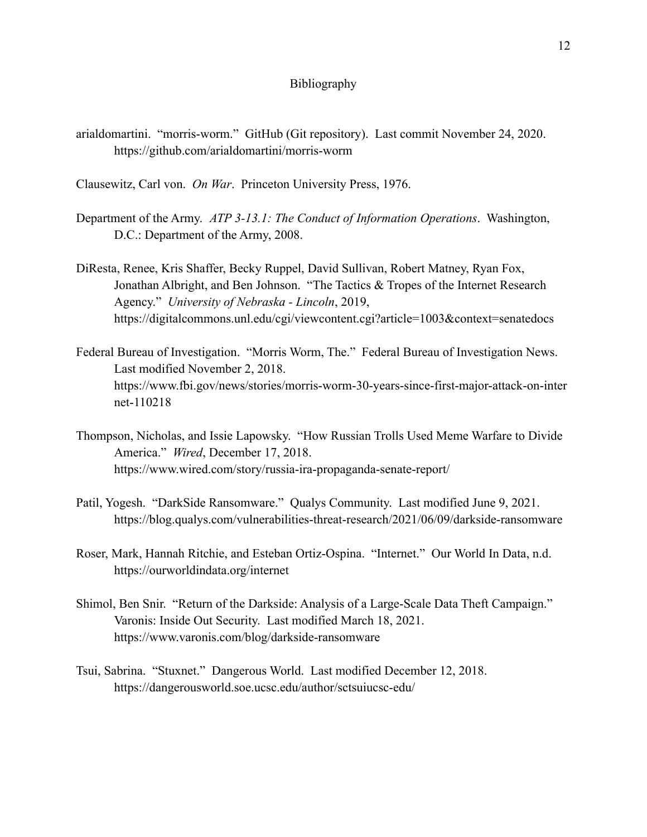## Bibliography

- arialdomartini. "morris-worm." GitHub (Git repository). Last commit November 24, 2020. https://github.com/arialdomartini/morris-worm
- Clausewitz, Carl von. *On War*. Princeton University Press, 1976.
- Department of the Army. *ATP 3-13.1: The Conduct of Information Operations*. Washington, D.C.: Department of the Army, 2008.
- DiResta, Renee, Kris Shaffer, Becky Ruppel, David Sullivan, Robert Matney, Ryan Fox, Jonathan Albright, and Ben Johnson. "The Tactics & Tropes of the Internet Research Agency." *University of Nebraska - Lincoln*, 2019, https://digitalcommons.unl.edu/cgi/viewcontent.cgi?article=1003&context=senatedocs
- Federal Bureau of Investigation. "Morris Worm, The." Federal Bureau of Investigation News. Last modified November 2, 2018. https://www.fbi.gov/news/stories/morris-worm-30-years-since-first-major-attack-on-inter net-110218
- Thompson, Nicholas, and Issie Lapowsky. "How Russian Trolls Used Meme Warfare to Divide America." *Wired*, December 17, 2018. https://www.wired.com/story/russia-ira-propaganda-senate-report/
- Patil, Yogesh. "DarkSide Ransomware." Qualys Community. Last modified June 9, 2021. https://blog.qualys.com/vulnerabilities-threat-research/2021/06/09/darkside-ransomware
- Roser, Mark, Hannah Ritchie, and Esteban Ortiz-Ospina. "Internet." Our World In Data, n.d. https://ourworldindata.org/internet
- Shimol, Ben Snir. "Return of the Darkside: Analysis of a Large-Scale Data Theft Campaign." Varonis: Inside Out Security. Last modified March 18, 2021. https://www.varonis.com/blog/darkside-ransomware
- Tsui, Sabrina. "Stuxnet." Dangerous World. Last modified December 12, 2018. https://dangerousworld.soe.ucsc.edu/author/sctsuiucsc-edu/